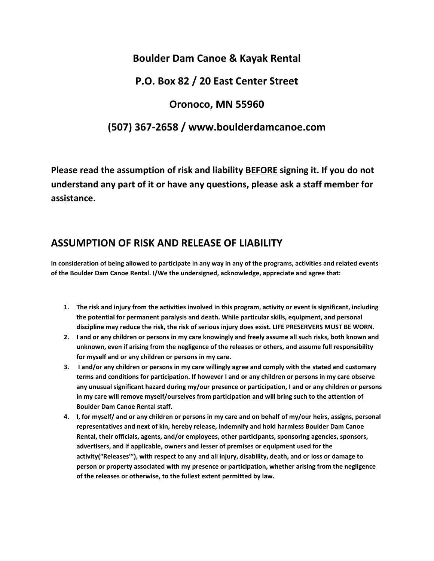# **Boulder Dam Canoe & Kayak Rental**

### **P.O. Box 82 / 20 East Center Street**

#### **Oronoco, MN 55960**

## **(507) 367-2658 / www.boulderdamcanoe.com**

**Please read the assumption of risk and liability BEFORE signing it. If you do not understand any part of it or have any questions, please ask a staff member for assistance.**

# **ASSUMPTION OF RISK AND RELEASE OF LIABILITY**

**In consideration of being allowed to participate in any way in any of the programs, activities and related events of the Boulder Dam Canoe Rental. I/We the undersigned, acknowledge, appreciate and agree that:**

- **1. The risk and injury from the activities involved in this program, activity or event is significant, including the potential for permanent paralysis and death. While particular skills, equipment, and personal discipline may reduce the risk, the risk of serious injury does exist. LIFE PRESERVERS MUST BE WORN.**
- **2. I and or any children or persons in my care knowingly and freely assume all such risks, both known and unknown, even if arising from the negligence of the releases or others, and assume full responsibility for myself and or any children or persons in my care.**
- **3. I and/or any children or persons in my care willingly agree and comply with the stated and customary terms and conditions for participation. If however I and or any children or persons in my care observe any unusual significant hazard during my/our presence or participation, I and or any children or persons in my care will remove myself/ourselves from participation and will bring such to the attention of Boulder Dam Canoe Rental staff.**
- **4. I, for myself/ and or any children or persons in my care and on behalf of my/our heirs, assigns, personal representatives and next of kin, hereby release, indemnify and hold harmless Boulder Dam Canoe Rental, their officials, agents, and/or employees, other participants, sponsoring agencies, sponsors, advertisers, and if applicable, owners and lesser of premises or equipment used for the activity("Releases'"), with respect to any and all injury, disability, death, and or loss or damage to person or property associated with my presence or participation, whether arising from the negligence of the releases or otherwise, to the fullest extent permitted by law.**